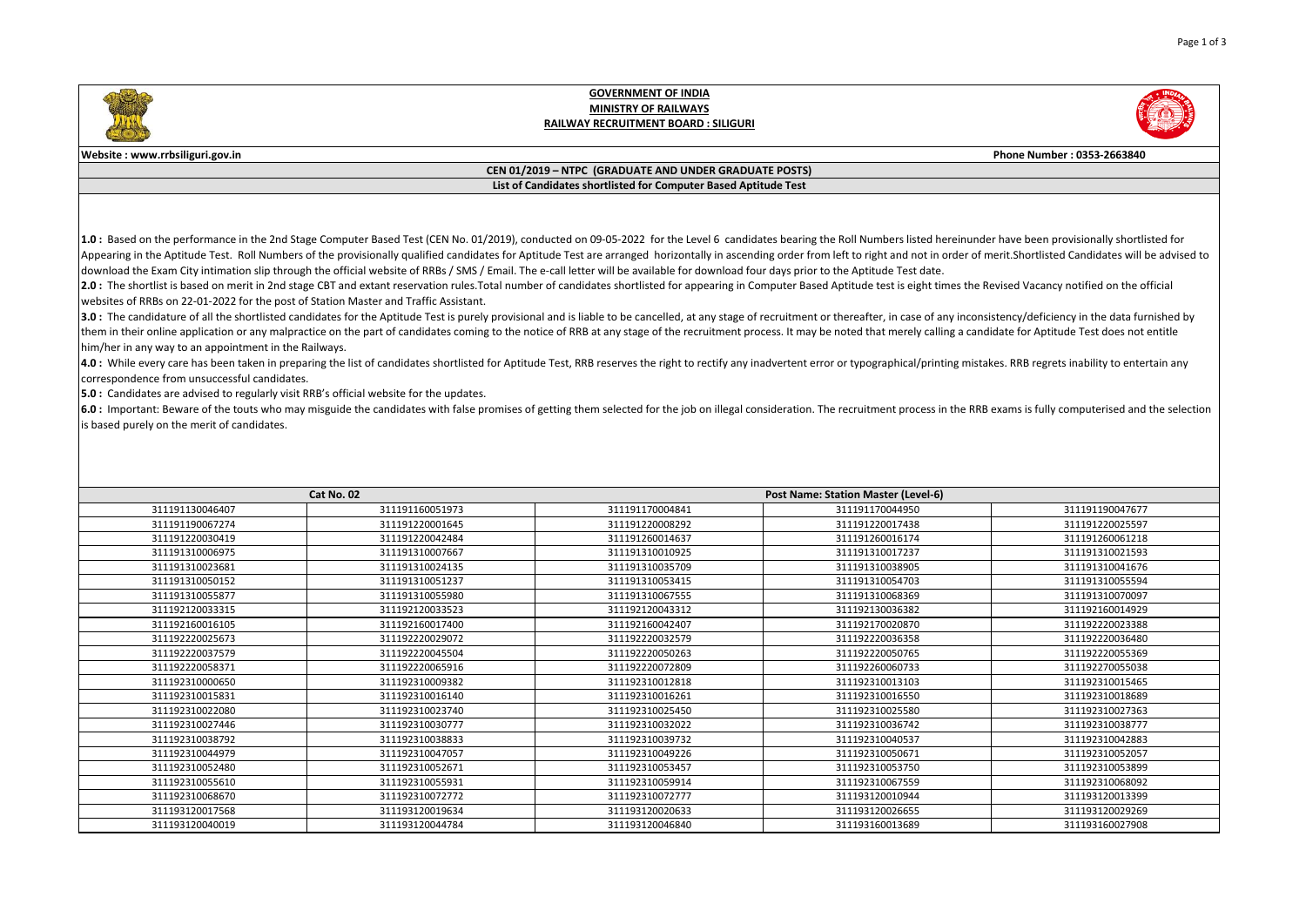

## **GOVERNMENT OF INDIA MINISTRY OF RAILWAYS RAILWAY RECRUITMENT BOARD : SILIGURI**



## **Website : www.rrbsiliguri.gov.in Phone Number : 0353-2663840**

## **CEN 01/2019 – NTPC (GRADUATE AND UNDER GRADUATE POSTS) List of Candidates shortlisted for Computer Based Aptitude Test**

1.0: Based on the performance in the 2nd Stage Computer Based Test (CEN No. 01/2019), conducted on 09-05-2022 for the Level 6 candidates bearing the Roll Numbers listed hereinunder have been provisionally shortlisted for Appearing in the Aptitude Test. Roll Numbers of the provisionally qualified candidates for Aptitude Test are arranged horizontally in ascending order from left to right and not in order of merit. Shortlisted Candidates wil download the Exam City intimation slip through the official website of RRBs / SMS / Email. The e-call letter will be available for download four days prior to the Aptitude Test date.

2.0: The shortlist is based on merit in 2nd stage CBT and extant reservation rules. Total number of candidates shortlisted for appearing in Computer Based Aptitude test is eight times the Revised Vacancy notified on the of websites of RRBs on 22-01-2022 for the post of Station Master and Traffic Assistant.

3.0: The candidature of all the shortlisted candidates for the Aptitude Test is purely provisional and is liable to be cancelled, at any stage of recruitment or thereafter, in case of any inconsistency/deficiency in the da them in their online application or any malpractice on the part of candidates coming to the notice of RRB at any stage of the recruitment process. It may be noted that merely calling a candidate for Aptitude Test does not him/her in any way to an appointment in the Railways.

4.0: While every care has been taken in preparing the list of candidates shortlisted for Aptitude Test, RRB reserves the right to rectify any inadvertent error or typographical/printing mistakes. RRB regrets inability to e correspondence from unsuccessful candidates.

**5.0 :** Candidates are advised to regularly visit RRB's official website for the updates.

6.0 : Important: Beware of the touts who may misguide the candidates with false promises of getting them selected for the iob on illegal consideration. The recruitment process in the RRB exams is fully computerised and the is based purely on the merit of candidates.

| Cat No. 02      |                 | <b>Post Name: Station Master (Level-6)</b> |                 |                 |  |
|-----------------|-----------------|--------------------------------------------|-----------------|-----------------|--|
| 311191130046407 | 311191160051973 | 311191170004841                            | 311191170044950 | 311191190047677 |  |
| 311191190067274 | 311191220001645 | 311191220008292                            | 311191220017438 | 311191220025597 |  |
| 311191220030419 | 311191220042484 | 311191260014637                            | 311191260016174 | 311191260061218 |  |
| 311191310006975 | 311191310007667 | 311191310010925                            | 311191310017237 | 311191310021593 |  |
| 311191310023681 | 311191310024135 | 311191310035709                            | 311191310038905 | 311191310041676 |  |
| 311191310050152 | 311191310051237 | 311191310053415                            | 311191310054703 | 311191310055594 |  |
| 311191310055877 | 311191310055980 | 311191310067555                            | 311191310068369 | 311191310070097 |  |
| 311192120033315 | 311192120033523 | 311192120043312                            | 311192130036382 | 311192160014929 |  |
| 311192160016105 | 311192160017400 | 311192160042407                            | 311192170020870 | 311192220023388 |  |
| 311192220025673 | 311192220029072 | 311192220032579                            | 311192220036358 | 311192220036480 |  |
| 311192220037579 | 311192220045504 | 311192220050263                            | 311192220050765 | 311192220055369 |  |
| 311192220058371 | 311192220065916 | 311192220072809                            | 311192260060733 | 311192270055038 |  |
| 311192310000650 | 311192310009382 | 311192310012818                            | 311192310013103 | 311192310015465 |  |
| 311192310015831 | 311192310016140 | 311192310016261                            | 311192310016550 | 311192310018689 |  |
| 311192310022080 | 311192310023740 | 311192310025450                            | 311192310025580 | 311192310027363 |  |
| 311192310027446 | 311192310030777 | 311192310032022                            | 311192310036742 | 311192310038777 |  |
| 311192310038792 | 311192310038833 | 311192310039732                            | 311192310040537 | 311192310042883 |  |
| 311192310044979 | 311192310047057 | 311192310049226                            | 311192310050671 | 311192310052057 |  |
| 311192310052480 | 311192310052671 | 311192310053457                            | 311192310053750 | 311192310053899 |  |
| 311192310055610 | 311192310055931 | 311192310059914                            | 311192310067559 | 311192310068092 |  |
| 311192310068670 | 311192310072772 | 311192310072777                            | 311193120010944 | 311193120013399 |  |
| 311193120017568 | 311193120019634 | 311193120020633                            | 311193120026655 | 311193120029269 |  |
| 311193120040019 | 311193120044784 | 311193120046840                            | 311193160013689 | 311193160027908 |  |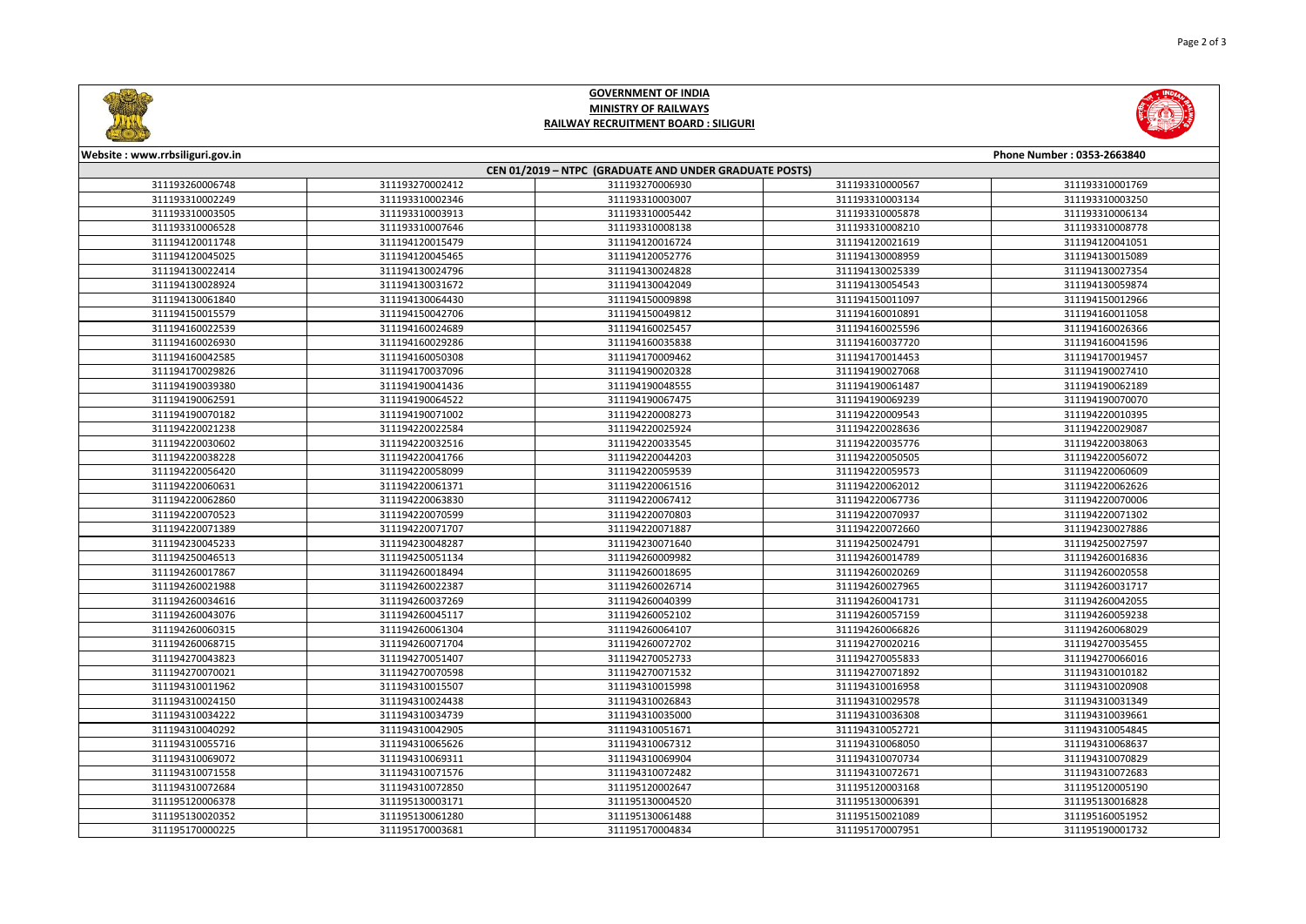

## **GOVERNMENT OF INDIA MINISTRY OF RAILWAYS RAILWAY RECRUITMENT BOARD : SILIGURI**



| Website: www.rrbsiliguri.gov.in                        |                 |                 |                 | Phone Number: 0353-2663840 |  |  |  |  |
|--------------------------------------------------------|-----------------|-----------------|-----------------|----------------------------|--|--|--|--|
| CEN 01/2019 - NTPC (GRADUATE AND UNDER GRADUATE POSTS) |                 |                 |                 |                            |  |  |  |  |
| 311193260006748                                        | 311193270002412 | 311193270006930 | 311193310000567 | 311193310001769            |  |  |  |  |
| 311193310002249                                        | 311193310002346 | 311193310003007 | 311193310003134 | 311193310003250            |  |  |  |  |
| 311193310003505                                        | 311193310003913 | 311193310005442 | 311193310005878 | 311193310006134            |  |  |  |  |
| 311193310006528                                        | 311193310007646 | 311193310008138 | 311193310008210 | 311193310008778            |  |  |  |  |
| 311194120011748                                        | 311194120015479 | 311194120016724 | 311194120021619 | 311194120041051            |  |  |  |  |
| 311194120045025                                        | 311194120045465 | 311194120052776 | 311194130008959 | 311194130015089            |  |  |  |  |
| 311194130022414                                        | 311194130024796 | 311194130024828 | 311194130025339 | 311194130027354            |  |  |  |  |
| 311194130028924                                        | 311194130031672 | 311194130042049 | 311194130054543 | 311194130059874            |  |  |  |  |
| 311194130061840                                        | 311194130064430 | 311194150009898 | 311194150011097 | 311194150012966            |  |  |  |  |
| 311194150015579                                        | 311194150042706 | 311194150049812 | 311194160010891 | 311194160011058            |  |  |  |  |
| 311194160022539                                        | 311194160024689 | 311194160025457 | 311194160025596 | 311194160026366            |  |  |  |  |
| 311194160026930                                        | 311194160029286 | 311194160035838 | 311194160037720 | 311194160041596            |  |  |  |  |
| 311194160042585                                        | 311194160050308 | 311194170009462 | 311194170014453 | 311194170019457            |  |  |  |  |
| 311194170029826                                        | 311194170037096 | 311194190020328 | 311194190027068 | 311194190027410            |  |  |  |  |
| 311194190039380                                        | 311194190041436 | 311194190048555 | 311194190061487 | 311194190062189            |  |  |  |  |
| 311194190062591                                        | 311194190064522 | 311194190067475 | 311194190069239 | 311194190070070            |  |  |  |  |
| 311194190070182                                        | 311194190071002 | 311194220008273 | 311194220009543 | 311194220010395            |  |  |  |  |
| 311194220021238                                        | 311194220022584 | 311194220025924 | 311194220028636 | 311194220029087            |  |  |  |  |
| 311194220030602                                        | 311194220032516 | 311194220033545 | 311194220035776 | 311194220038063            |  |  |  |  |
| 311194220038228                                        | 311194220041766 | 311194220044203 | 311194220050505 | 311194220056072            |  |  |  |  |
| 311194220056420                                        | 311194220058099 | 311194220059539 | 311194220059573 | 311194220060609            |  |  |  |  |
| 311194220060631                                        | 311194220061371 | 311194220061516 | 311194220062012 | 311194220062626            |  |  |  |  |
| 311194220062860                                        | 311194220063830 | 311194220067412 | 311194220067736 | 311194220070006            |  |  |  |  |
| 311194220070523                                        | 311194220070599 | 311194220070803 | 311194220070937 | 311194220071302            |  |  |  |  |
| 311194220071389                                        | 311194220071707 | 311194220071887 | 311194220072660 | 311194230027886            |  |  |  |  |
| 311194230045233                                        | 311194230048287 | 311194230071640 | 311194250024791 | 311194250027597            |  |  |  |  |
| 311194250046513                                        | 311194250051134 | 311194260009982 | 311194260014789 | 311194260016836            |  |  |  |  |
| 311194260017867                                        | 311194260018494 | 311194260018695 | 311194260020269 | 311194260020558            |  |  |  |  |
| 311194260021988                                        | 311194260022387 | 311194260026714 | 311194260027965 | 311194260031717            |  |  |  |  |
| 311194260034616                                        | 311194260037269 | 311194260040399 | 311194260041731 | 311194260042055            |  |  |  |  |
| 311194260043076                                        | 311194260045117 | 311194260052102 | 311194260057159 | 311194260059238            |  |  |  |  |
| 311194260060315                                        | 311194260061304 | 311194260064107 | 311194260066826 | 311194260068029            |  |  |  |  |
| 311194260068715                                        | 311194260071704 | 311194260072702 | 311194270020216 | 311194270035455            |  |  |  |  |
| 311194270043823                                        | 311194270051407 | 311194270052733 | 311194270055833 | 311194270066016            |  |  |  |  |
| 311194270070021                                        | 311194270070598 | 311194270071532 | 311194270071892 | 311194310010182            |  |  |  |  |
| 311194310011962                                        | 311194310015507 | 311194310015998 | 311194310016958 | 311194310020908            |  |  |  |  |
| 311194310024150                                        | 311194310024438 | 311194310026843 | 311194310029578 | 311194310031349            |  |  |  |  |
| 311194310034222                                        | 311194310034739 | 311194310035000 | 311194310036308 | 311194310039661            |  |  |  |  |
| 311194310040292                                        | 311194310042905 | 311194310051671 | 311194310052721 | 311194310054845            |  |  |  |  |
| 311194310055716                                        | 311194310065626 | 311194310067312 | 311194310068050 | 311194310068637            |  |  |  |  |
| 311194310069072                                        | 311194310069311 | 311194310069904 | 311194310070734 | 311194310070829            |  |  |  |  |
| 311194310071558                                        | 311194310071576 | 311194310072482 | 311194310072671 | 311194310072683            |  |  |  |  |
| 311194310072684                                        | 311194310072850 | 311195120002647 | 311195120003168 | 311195120005190            |  |  |  |  |
| 311195120006378                                        | 311195130003171 | 311195130004520 | 311195130006391 | 311195130016828            |  |  |  |  |
| 311195130020352                                        | 311195130061280 | 311195130061488 | 311195150021089 | 311195160051952            |  |  |  |  |
| 311195170000225                                        | 311195170003681 | 311195170004834 | 311195170007951 | 311195190001732            |  |  |  |  |